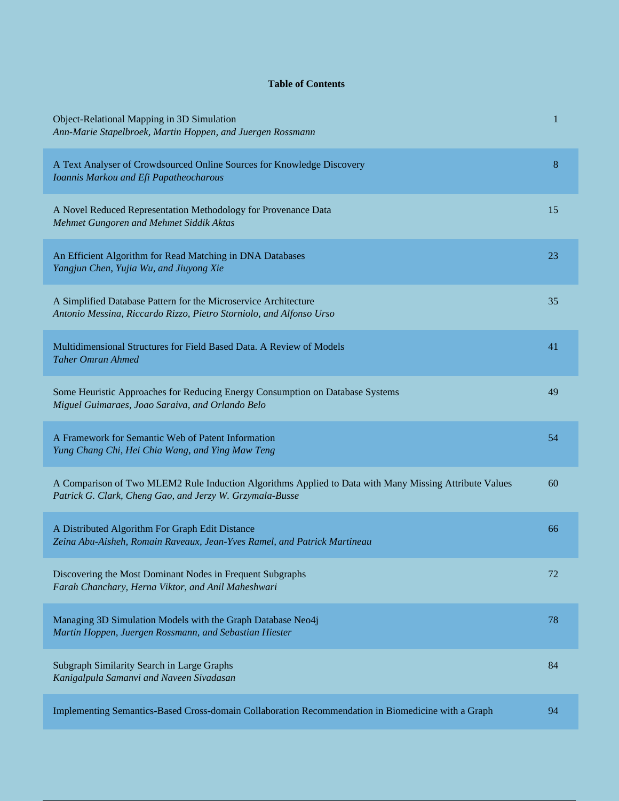## **Table of Contents**

| Object-Relational Mapping in 3D Simulation<br>Ann-Marie Stapelbroek, Martin Hoppen, and Juergen Rossmann                                                           | 1  |
|--------------------------------------------------------------------------------------------------------------------------------------------------------------------|----|
| A Text Analyser of Crowdsourced Online Sources for Knowledge Discovery<br>Ioannis Markou and Efi Papatheocharous                                                   | 8  |
| A Novel Reduced Representation Methodology for Provenance Data<br>Mehmet Gungoren and Mehmet Siddik Aktas                                                          | 15 |
| An Efficient Algorithm for Read Matching in DNA Databases<br>Yangjun Chen, Yujia Wu, and Jiuyong Xie                                                               | 23 |
| A Simplified Database Pattern for the Microservice Architecture<br>Antonio Messina, Riccardo Rizzo, Pietro Storniolo, and Alfonso Urso                             | 35 |
| Multidimensional Structures for Field Based Data. A Review of Models<br><b>Taher Omran Ahmed</b>                                                                   | 41 |
| Some Heuristic Approaches for Reducing Energy Consumption on Database Systems<br>Miguel Guimaraes, Joao Saraiva, and Orlando Belo                                  | 49 |
| A Framework for Semantic Web of Patent Information<br>Yung Chang Chi, Hei Chia Wang, and Ying Maw Teng                                                             | 54 |
| A Comparison of Two MLEM2 Rule Induction Algorithms Applied to Data with Many Missing Attribute Values<br>Patrick G. Clark, Cheng Gao, and Jerzy W. Grzymala-Busse | 60 |
| A Distributed Algorithm For Graph Edit Distance<br>Zeina Abu-Aisheh, Romain Raveaux, Jean-Yves Ramel, and Patrick Martineau                                        | 66 |
| Discovering the Most Dominant Nodes in Frequent Subgraphs<br>Farah Chanchary, Herna Viktor, and Anil Maheshwari                                                    | 72 |
| Managing 3D Simulation Models with the Graph Database Neo4j<br>Martin Hoppen, Juergen Rossmann, and Sebastian Hiester                                              | 78 |
| Subgraph Similarity Search in Large Graphs<br>Kanigalpula Samanvi and Naveen Sivadasan                                                                             | 84 |
| Implementing Semantics-Based Cross-domain Collaboration Recommendation in Biomedicine with a Graph                                                                 | 94 |